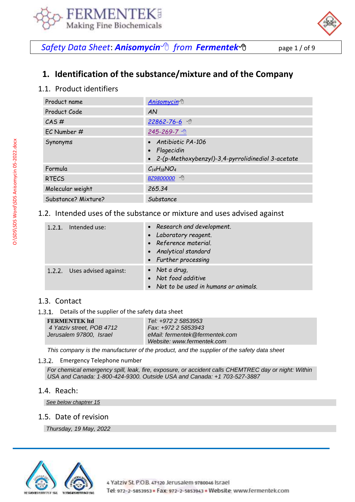



**Safety Data Sheet: Anisomycin**<sup></sup> from **[Fermentek](https://fermentek.com/)**<sup></sub> 他</sup> page 1/ of 9

# **1. Identification of the substance/mixture and of the Company**

## 1.1. Product identifiers

| Product name        | <b>Anisomycin</b> <sup>®</sup>                                                             |
|---------------------|--------------------------------------------------------------------------------------------|
| Product Code        | AN                                                                                         |
| $CAS \#$            | $22862 - 76 - 6$                                                                           |
| EC Number #         | 245-269-7 他                                                                                |
| Synonyms            | • Antibiotic PA-106<br>• Flagecidin<br>• 2-(p-Methoxybenzyl)-3,4-pyrrolidinediol 3-acetate |
| Formula             | $C_{14}H_{18}NO_4$                                                                         |
| <b>RTECS</b>        | BZ9800000 <sup>个</sup>                                                                     |
| Molecular weight    | 265.34                                                                                     |
| Substance? Mixture? | Substance                                                                                  |

#### 1.2. Intended uses of the substance or mixture and uses advised against

| 1.2.1. Intended use:         | • Research and development.<br>• Laboratory reagent.<br>• Reference material.<br>• Analytical standard<br>• Further processing |
|------------------------------|--------------------------------------------------------------------------------------------------------------------------------|
| 1.2.2. Uses advised against: | • Not a drug,<br>• Not food additive<br>• Not to be used in humans or animals.                                                 |

#### 1.3. Contact

1.3.1. Details of the supplier of the safety data sheet

| <b>FERMENTEK ltd</b>      | Tel: +972 2 5853953            |
|---------------------------|--------------------------------|
| 4 Yatziv street, POB 4712 | Fax: +972 2 5853943            |
| Jerusalem 97800. Israel   | eMail: fermentek@fermentek.com |
|                           | Website: www.fermentek.com     |

*This company is the manufacturer of the product, and the supplier of the safety data sheet*

#### 1.3.2. Emergency Telephone number

*For chemical emergency spill, leak, fire, exposure, or accident calls CHEMTREC day or night: Within USA and Canada: 1-800-424-9300. Outside USA and Canada: +1 703-527-3887*

#### 1.4. Reach:

*See below chaptrer 15*

#### 1.5. Date of revision

*Thursday, 19 May, 2022*

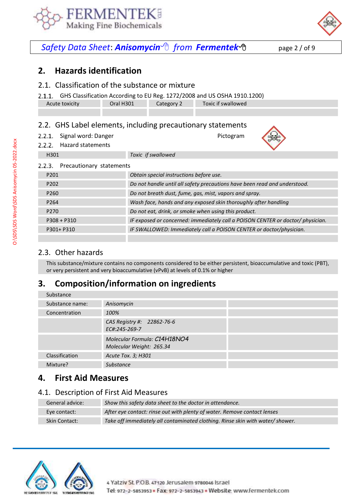



# *Safety Data Sheet*: *Anisomycin from [Fermentek](https://fermentek.com/)*page 2 / of 9

## **2. Hazards identification**

#### 2.1. Classification of the substance or mixture

GHS Classification According to EU Reg. 1272/2008 and US OSHA 1910.1200)

|                | --   | __ |                    |
|----------------|------|----|--------------------|
| Acute toxicity | H301 |    | Toxic if swallowed |
|                |      |    |                    |

### 2.2. GHS Label elements, including precautionary statements

 $2.2.1.$ Signal word: Danger **Pictogram** Pictogram Hazard statements



|      | 2.2.2. Hazard statements |                    |
|------|--------------------------|--------------------|
| H301 |                          | Toxic if swallowed |

| Precautionary statements<br>2.2.3. |                                                                                 |
|------------------------------------|---------------------------------------------------------------------------------|
| P <sub>201</sub>                   | Obtain special instructions before use.                                         |
| P <sub>202</sub>                   | Do not handle until all safety precautions have been read and understood.       |
| P <sub>260</sub>                   | Do not breath dust, fume, gas, mist, vapors and spray.                          |
| P <sub>264</sub>                   | Wash face, hands and any exposed skin thoroughly after handling                 |
| P <sub>270</sub>                   | Do not eat, drink, or smoke when using this product.                            |
| $P308 + P310$                      | IF exposed or concerned: immediately call a POISON CENTER or doctor/ physician. |

P301+ P310 *IF SWALLOWED: Immediately call a POISON CENTER or doctor/physician.*

## 2.3. Other hazards

This substance/mixture contains no components considered to be either persistent, bioaccumulative and toxic (PBT), or very persistent and very bioaccumulative (vPvB) at levels of 0.1% or higher

## **3. Composition/information on ingredients**

| Substance       |                                                          |
|-----------------|----------------------------------------------------------|
| Substance name: | Anisomycin                                               |
| Concentration   | 100%                                                     |
|                 | CAS Registry #: 22862-76-6<br>EC#:245-269-7              |
|                 | Molecular Formula: C14H18NO4<br>Molecular Weight: 265.34 |
| Classification  | Acute Tox. 3; H301                                       |
| Mixture?        | Substance                                                |

## **4. First Aid Measures**

#### 4.1. Description of First Aid Measures

| General advice:      | Show this safety data sheet to the doctor in attendance.                       |
|----------------------|--------------------------------------------------------------------------------|
| Eve contact:         | After eye contact: rinse out with plenty of water. Remove contact lenses       |
| <b>Skin Contact:</b> | Take off immediately all contaminated clothing. Rinse skin with water/ shower. |

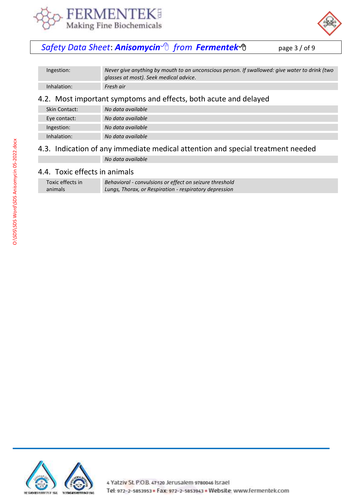



# *Safety Data Sheet*: *Anisomycin from [Fermentek](https://fermentek.com/)*page 3 / of 9

| Ingestion:    | Never give anything by mouth to an unconscious person. If swallowed: give water to drink (two<br>glasses at most). Seek medical advice. |
|---------------|-----------------------------------------------------------------------------------------------------------------------------------------|
| Inhalation:   | Fresh air                                                                                                                               |
|               | 4.2. Most important symptoms and effects, both acute and delayed                                                                        |
| Skin Contact: | No data available                                                                                                                       |
| Eye contact:  | No data available                                                                                                                       |
| Ingestion:    | No data available                                                                                                                       |
| Inhalation:   | No data available                                                                                                                       |
|               |                                                                                                                                         |

# 4.3. Indication of any immediate medical attention and special treatment needed

*No data available*

## 4.4. Toxic effects in animals

| Toxic effects in | Behavioral - convulsions or effect on seizure threshold |
|------------------|---------------------------------------------------------|
| animals          | Lungs, Thorax, or Respiration - respiratory depression  |

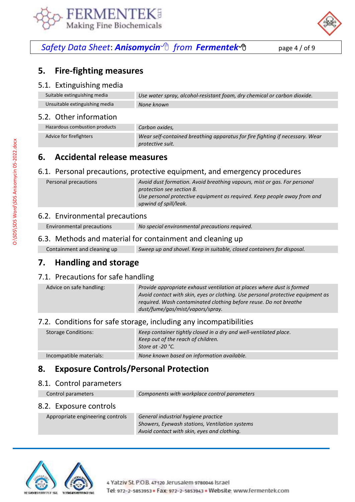



# *Safety Data Sheet*: *Anisomycin from [Fermentek](https://fermentek.com/)*page 4 / of 9

## **5. Fire-fighting measures**

#### 5.1. Extinguishing media

| Suitable extinguishing media   | Use water spray, alcohol-resistant foam, dry chemical or carbon dioxide. |
|--------------------------------|--------------------------------------------------------------------------|
| Unsuitable extinguishing media | None known                                                               |

#### 5.2. Other information

| Hazardous combustion products | Carbon oxides,                                                               |
|-------------------------------|------------------------------------------------------------------------------|
| Advice for firefighters       | Wear self-contained breathing apparatus for fire fighting if necessary. Wear |
|                               | protective suit.                                                             |

## **6. Accidental release measures**

#### 6.1. Personal precautions, protective equipment, and emergency procedures

| Personal precautions | Avoid dust formation. Avoid breathing vapours, mist or gas. For personal<br>protection see section 8. |
|----------------------|-------------------------------------------------------------------------------------------------------|
|                      | Use personal protective equipment as required. Keep people away from and<br>upwind of spill/leak.     |
|                      |                                                                                                       |

### 6.2. Environmental precautions

Environmental precautions *No special environmental precautions required.*

#### 6.3. Methods and material for containment and cleaning up

| Containment and cleaning up | Sweep up and shovel. Keep in suitable, closed containers for disposal. |
|-----------------------------|------------------------------------------------------------------------|
|-----------------------------|------------------------------------------------------------------------|

## **7. Handling and storage**

#### 7.1. Precautions for safe handling

| Advice on safe handling: | Provide appropriate exhaust ventilation at places where dust is formed<br>Avoid contact with skin, eyes or clothing. Use personal protective equipment as<br>required. Wash contaminated clothing before reuse. Do not breathe<br>dust/fume/gas/mist/vapors/spray. |
|--------------------------|--------------------------------------------------------------------------------------------------------------------------------------------------------------------------------------------------------------------------------------------------------------------|
|                          |                                                                                                                                                                                                                                                                    |

#### 7.2. Conditions for safe storage, including any incompatibilities

| <b>Storage Conditions:</b> | Keep container tightly closed in a dry and well-ventilated place.<br>Keep out of the reach of children.<br>Store at -20 °C. |
|----------------------------|-----------------------------------------------------------------------------------------------------------------------------|
|                            |                                                                                                                             |
| Incompatible materials:    | None known based on information available.                                                                                  |

## **8. Exposure Controls/Personal Protection**

#### 8.1. Control parameters

Control parameters *Components with workplace control parameters*

#### 8.2. Exposure controls

Appropriate engineering controls *General industrial hygiene practice*

*Showers, Eyewash stations, Ventilation systems Avoid contact with skin, eyes and clothing.* 

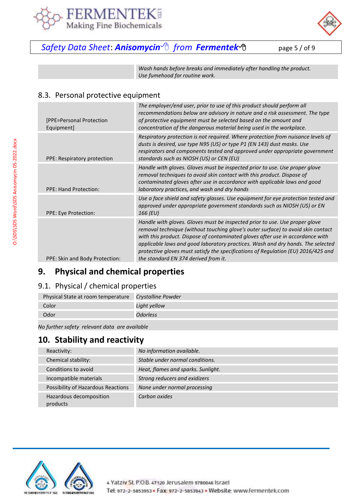



# *Safety Data Sheet*: *Anisomycin from [Fermentek](https://fermentek.com/)*page 5 / of 9

*Wash hands before breaks and immediately after handling the product. Use fumehood for routine work.*

## 8.3. Personal protective equipment

| [PPE=Personal Protection<br>Equipment] | The employer/end user, prior to use of this product should perform all<br>recommendations below are advisory in nature and a risk assessment. The type<br>of protective equipment must be selected based on the amount and<br>concentration of the dangerous material being used in the workplace.                                                                                                                                                                |
|----------------------------------------|-------------------------------------------------------------------------------------------------------------------------------------------------------------------------------------------------------------------------------------------------------------------------------------------------------------------------------------------------------------------------------------------------------------------------------------------------------------------|
| PPE: Respiratory protection            | Respiratory protection is not required. Where protection from nuisance levels of<br>dusts is desired, use type N95 (US) or type P1 (EN 143) dust masks. Use<br>respirators and components tested and approved under appropriate government<br>standards such as NIOSH (US) or CEN (EU)                                                                                                                                                                            |
| <b>PPE: Hand Protection:</b>           | Handle with gloves. Gloves must be inspected prior to use. Use proper glove<br>removal techniques to avoid skin contact with this product. Dispose of<br>contaminated gloves after use in accordance with applicable laws and good<br>laboratory practices, and wash and dry hands                                                                                                                                                                                |
| PPE: Eye Protection:                   | Use a face shield and safety glasses. Use equipment for eye protection tested and<br>approved under appropriate government standards such as NIOSH (US) or EN<br>166 (EU)                                                                                                                                                                                                                                                                                         |
| PPE: Skin and Body Protection:         | Handle with gloves. Gloves must be inspected prior to use. Use proper glove<br>removal technique (without touching glove's outer surface) to avoid skin contact<br>with this product. Dispose of contaminated gloves after use in accordance with<br>applicable laws and good laboratory practices. Wash and dry hands. The selected<br>protective gloves must satisfy the specifications of Regulation (EU) 2016/425 and<br>the standard EN 374 derived from it. |

# **9. Physical and chemical properties**

## 9.1. Physical / chemical properties

| Physical State at room temperature Crystalline Powder |              |
|-------------------------------------------------------|--------------|
| Color                                                 | Light yellow |
| Odor                                                  | Odorless     |

*No further safety relevant data are available*

## **10. Stability and reactivity**

| Reactivity:                         | No information available.          |
|-------------------------------------|------------------------------------|
| Chemical stability:                 | Stable under normal conditions.    |
| Conditions to avoid                 | Heat, flames and sparks. Sunlight. |
| Incompatible materials              | Strong reducers and exidizers      |
| Possibility of Hazardous Reactions  | None under normal processing       |
| Hazardous decomposition<br>products | Carbon oxides                      |

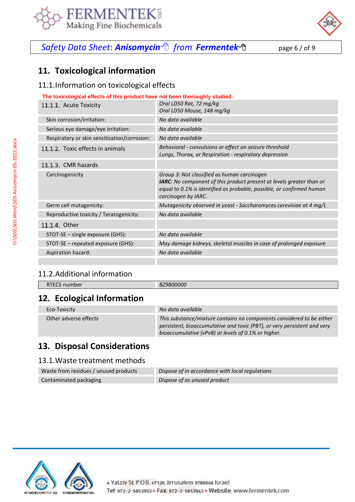



# *Safety Data Sheet*: *Anisomycin from [Fermentek](https://fermentek.com/)*page 6 / of 9

# **11. Toxicological information**

## 11.1.Information on toxicological effects

| The toxicological effects of this product have not been thoroughly studied. |                                                                                                                                                                                                                            |  |  |
|-----------------------------------------------------------------------------|----------------------------------------------------------------------------------------------------------------------------------------------------------------------------------------------------------------------------|--|--|
| 11.1.1. Acute Toxicity                                                      | Oral LD50 Rat, 72 mg/kg                                                                                                                                                                                                    |  |  |
|                                                                             | Oral LD50 Mouse, 148 mg/kg                                                                                                                                                                                                 |  |  |
| Skin corrosion/irritation:                                                  | No data available                                                                                                                                                                                                          |  |  |
| Serious eye damage/eye irritation:                                          | No data available                                                                                                                                                                                                          |  |  |
| Respiratory or skin sensitization/corrosion:                                | No data available                                                                                                                                                                                                          |  |  |
| 11.1.2. Toxic effects in animals                                            | Behavioral - convulsions or effect on seizure threshold<br>Lungs, Thorax, or Respiration - respiratory depression                                                                                                          |  |  |
| 11.1.3. CMR hazards                                                         |                                                                                                                                                                                                                            |  |  |
| Carcinogenicity                                                             | Group 3: Not classified as human carcinogen<br><b>IARC:</b> No component of this product present at levels greater than or<br>equal to 0.1% is identified as probable, possible, or confirmed human<br>carcinogen by IARC. |  |  |
| Germ cell mutagenicity:                                                     | Mutagenicity observed in yeast - Saccharomyces cerevisiae at 4 mg/L                                                                                                                                                        |  |  |
| Reproductive toxicity / Teratogenicity:                                     | No data available                                                                                                                                                                                                          |  |  |
| 11.1.4. Other                                                               |                                                                                                                                                                                                                            |  |  |
| STOT-SE – single exposure (GHS):                                            | No data available                                                                                                                                                                                                          |  |  |
| STOT-SE - repeated exposure (GHS):                                          | May damage kidneys, skeletal muscles in case of prolonged exposure                                                                                                                                                         |  |  |
| Aspiration hazard:                                                          | No data available                                                                                                                                                                                                          |  |  |
|                                                                             |                                                                                                                                                                                                                            |  |  |

## 11.2.Additional information

| $-$   | D  |
|-------|----|
| _____ | D, |
|       |    |

# **12. Ecological Information**

| Eco-Toxicity          | No data available                                                                                                                                                                                        |
|-----------------------|----------------------------------------------------------------------------------------------------------------------------------------------------------------------------------------------------------|
| Other adverse effects | This substance/mixture contains no components considered to be either<br>persistent, bioaccumulative and toxic (PBT), or very persistent and very<br>bioaccumulative (vPvB) at levels of 0.1% or higher. |

# **13. Disposal Considerations**

### 13.1.Waste treatment methods

| Waste from residues / unused products | Dispose of in accordance with local regulations |
|---------------------------------------|-------------------------------------------------|
| Contaminated packaging                | Dispose of as unused product                    |

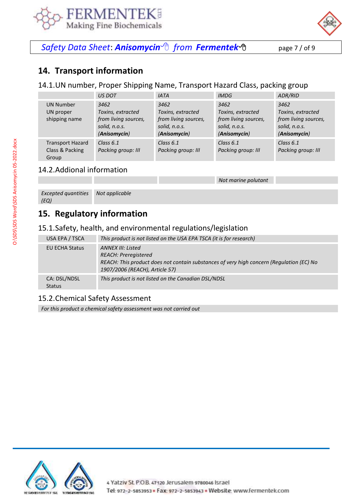



*Safety Data Sheet*: *Anisomycin from [Fermentek](https://fermentek.com/)*page 7 / of 9

## **14. Transport information**

14.1.UN number, Proper Shipping Name, Transport Hazard Class, packing group

|                                                     | <b>US DOT</b>                                                                      | <b>IATA</b>                                                                        | <i><b>IMDG</b></i>                                                                 | ADR/RID                                                                            |
|-----------------------------------------------------|------------------------------------------------------------------------------------|------------------------------------------------------------------------------------|------------------------------------------------------------------------------------|------------------------------------------------------------------------------------|
| <b>UN Number</b><br>UN proper<br>shipping name      | 3462<br>Toxins, extracted<br>from living sources,<br>solid, n.o.s.<br>(Anisomycin) | 3462<br>Toxins, extracted<br>from living sources,<br>solid, n.o.s.<br>(Anisomycin) | 3462<br>Toxins, extracted<br>from living sources,<br>solid, n.o.s.<br>(Anisomycin) | 3462<br>Toxins, extracted<br>from living sources,<br>solid, n.o.s.<br>(Anisomycin) |
| <b>Transport Hazard</b><br>Class & Packing<br>Group | Class $6.1$<br>Packing group: III                                                  | Class $6.1$<br>Packing group: III                                                  | Class $6.1$<br>Packing group: III                                                  | Class $6.1$<br>Packing group: III                                                  |

*Not marine polutant*

## 14.2.Addional information

| <b>Excepted quantities</b> | Not applicable |  |
|----------------------------|----------------|--|
| (EQ)                       |                |  |

# **15. Regulatory information**

#### 15.1.Safety, health, and environmental regulations/legislation

| USA EPA / TSCA<br>EU ECHA Status | This product is not listed on the USA EPA TSCA (it is for research)<br><b>ANNEX III: Listed</b>                                                           |
|----------------------------------|-----------------------------------------------------------------------------------------------------------------------------------------------------------|
|                                  | <b>REACH: Preregistered</b><br>REACH: This product does not contain substances of very high concern (Regulation (EC) No<br>1907/2006 (REACH), Article 57) |
| CA: DSL/NDSL<br><b>Status</b>    | This product is not listed on the Canadian DSL/NDSL                                                                                                       |

## 15.2.Chemical Safety Assessment

*For this product a chemical safety assessment was not carried out*

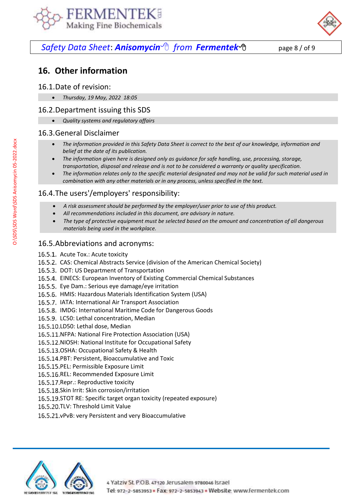



# *Safety Data Sheet*: *Anisomycin from [Fermentek](https://fermentek.com/)*page 8 / of 9

# **16. Other information**

### 16.1.Date of revision:

• *Thursday, 19 May, 2022 18:05*

### 16.2.Department issuing this SDS

• *Quality systems and regulatory affairs*

### 16.3.General Disclaimer

- *The information provided in this Safety Data Sheet is correct to the best of our knowledge, information and belief at the date of its publication.*
- *The information given here is designed only as guidance for safe handling, use, processing, storage, transportation, disposal and release and is not to be considered a warranty or quality specification.*
- *The information relates only to the specific material designated and may not be valid for such material used in combination with any other materials or in any process, unless specified in the text.*

## 16.4.The users'/employers' responsibility:

- *A risk assessment should be performed by the employer/user prior to use of this product.*
- *All recommendations included in this document, are advisory in nature.*
- *The type of protective equipment must be selected based on the amount and concentration of all dangerous materials being used in the workplace.*

## 16.5.Abbreviations and acronyms:

- 16.5.1. Acute Tox.: Acute toxicity
- 16.5.2. CAS: Chemical Abstracts Service (division of the American Chemical Society)
- 16.5.3. DOT: US Department of Transportation
- 16.5.4. EINECS: European Inventory of Existing Commercial Chemical Substances
- 16.5.5. Eye Dam.: Serious eye damage/eye irritation
- 16.5.6. HMIS: Hazardous Materials Identification System (USA)
- 16.5.7. IATA: International Air Transport Association
- 16.5.8. IMDG: International Maritime Code for Dangerous Goods
- 16.5.9. LC50: Lethal concentration, Median
- 16.5.10.LD50: Lethal dose, Median
- 16.5.11. NFPA: National Fire Protection Association (USA)
- 16.5.12. NIOSH: National Institute for Occupational Safety
- 16.5.13. OSHA: Occupational Safety & Health
- 16.5.14. PBT: Persistent, Bioaccumulative and Toxic
- 16.5.15. PEL: Permissible Exposure Limit
- 16.5.16.REL: Recommended Exposure Limit
- 16.5.17. Repr.: Reproductive toxicity
- 16.5.18.Skin Irrit: Skin corrosion/irritation
- 16.5.19. STOT RE: Specific target organ toxicity (repeated exposure)
- 16.5.20.TLV: Threshold Limit Value
- 16.5.21. vPvB: very Persistent and very Bioaccumulative